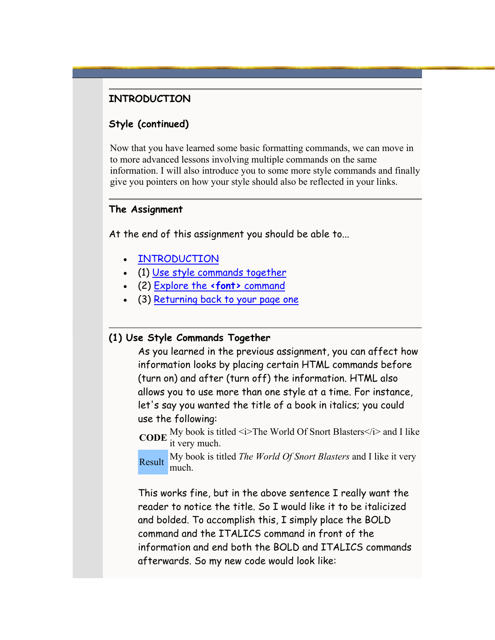### <span id="page-0-0"></span>**INTRODUCTION**

## **Style (continued)**

Now that you have learned some basic formatting commands, we can move in to more advanced lessons involving multiple commands on the same information. I will also introduce you to some more style commands and finally give you pointers on how your style should also be reflected in your links.

#### **The Assignment**

At the end of this assignment you should be able to...

- **INTRODUCTION**
- (1) [Use style commands together](#page-0-0)
- (2) [Explore the](#page-2-0) **<font>** command
- (3) [Returning back to your page one](#page-5-0)

#### **(1) Use Style Commands Together**

As you learned in the previous assignment, you can affect how information looks by placing certain HTML commands before (turn on) and after (turn off) the information. HTML also allows you to use more than one style at a time. For instance, let's say you wanted the title of a book in italics; you could use the following:

**CODE** My book is titled  $\leq i$  The World Of Snort Blasters $\leq$ / $i$  and I like it very much.

Result My book is titled *The World Of Snort Blasters* and I like it very much.

This works fine, but in the above sentence I really want the reader to notice the title. So I would like it to be italicized and bolded. To accomplish this, I simply place the BOLD command and the ITALICS command in front of the information and end both the BOLD and ITALICS commands afterwards. So my new code would look like: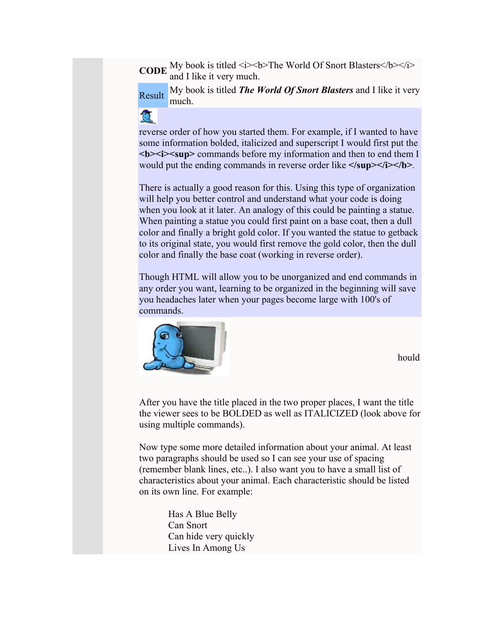**CODE** My book is titled *i>*  $\leq$  **The World Of Snort Blasters**  $\leq$  **The World Of Snort Blasters** and I like it very much.

Result My book is titled *The World Of Snort Blasters* and I like it very much.

優

reverse order of how you started them. For example, if I wanted to have some information bolded, italicized and superscript I would first put the *<b><i>cb<i>-<b><i>cfcfffffff***<sub><b>***f***</sub>***<i>f***<sub></sub>***f***<sub><b>***f***</sub>***<i>f***<sub></sub>***f***<sub><b>***f***<sup>***f***</sup></del>***<b><i>f<i>f*<sub>*f***<sup>***f***</sup>***<i>f***</del>***<i>f<i>f<i>f***<sub>***f***</sub>***<i>f***<sub>***f***</sub>***<i>f***<sub>***f***</sub>***<i>f***<sub>***f***</sub>***<i>f***<sub>***f***</sub>***<i>f***<sub>***f***</sub>***<i>*</sub></sub></sub></sub> would put the ending commands in reverse order like **</sup></i></b>**.

There is actually a good reason for this. Using this type of organization will help you better control and understand what your code is doing when you look at it later. An analogy of this could be painting a statue. When painting a statue you could first paint on a base coat, then a dull color and finally a bright gold color. If you wanted the statue to getback to its original state, you would first remove the gold color, then the dull color and finally the base coat (working in reverse order).

Though HTML will allow you to be unorganized and end commands in any order you want, learning to be organized in the beginning will save you headaches later when your pages become large with 100's of commands.



hould

After you have the title placed in the two proper places, I want the title the viewer sees to be BOLDED as well as ITALICIZED (look above for using multiple commands).

Now type some more detailed information about your animal. At least two paragraphs should be used so I can see your use of spacing (remember blank lines, etc..). I also want you to have a small list of characteristics about your animal. Each characteristic should be listed on its own line. For example:

> Has A Blue Belly Can Snort Can hide very quickly Lives In Among Us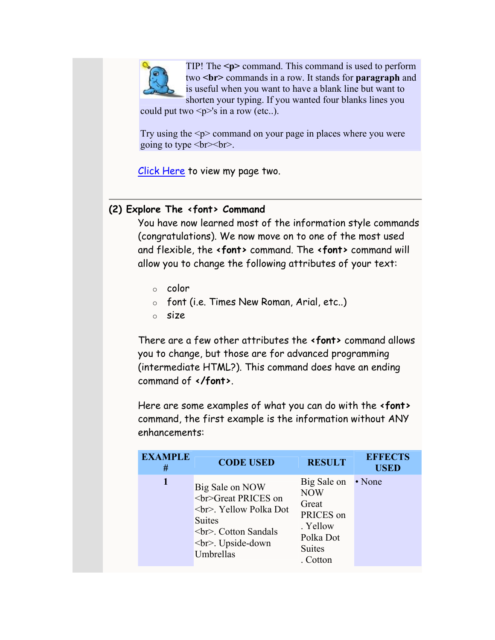<span id="page-2-0"></span>

TIP! The **<p>** command. This command is used to perform two **<br>** commands in a row. It stands for **paragraph** and is useful when you want to have a blank line but want to shorten your typing. If you wanted four blanks lines you

could put two  $\leq p>\simeq$ 's in a row (etc..).

Try using the  $\leq p$  command on your page in places where you were going to type <br><br>.

Click Here to view my page two.

# **(2) Explore The <font> Command**

You have now learned most of the information style commands (congratulations). We now move on to one of the most used and flexible, the **<font>** command. The **<font>** command will allow you to change the following attributes of your text:

- $\circ$  color
- o font (i.e. Times New Roman, Arial, etc..)
- o size

There are a few other attributes the **<font>** command allows you to change, but those are for advanced programming (intermediate HTML?). This command does have an ending command of **</font>**.

Here are some examples of what you can do with the **<font>** command, the first example is the information without ANY enhancements:

| <b>EXAMPLE</b><br># | <b>CODE USED</b>                                                                                                                            | <b>RESULT</b>                                                                                         | <b>EFFECTS</b><br><b>USED</b> |
|---------------------|---------------------------------------------------------------------------------------------------------------------------------------------|-------------------------------------------------------------------------------------------------------|-------------------------------|
| 1                   | Big Sale on NOW<br><br>Great PRICES on<br><br>. Yellow Polka Dot<br><b>Suites</b><br><br>. Cotton Sandals<br><br>. Upside-down<br>Umbrellas | Big Sale on<br><b>NOW</b><br>Great<br>PRICES on<br>. Yellow<br>Polka Dot<br><b>Suites</b><br>. Cotton | • None                        |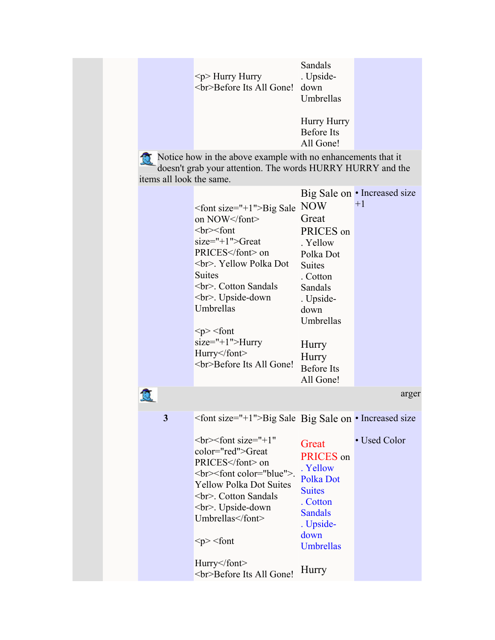|                          | Sandals            |  |
|--------------------------|--------------------|--|
| $< p$ > Hurry Hurry      | . Upside-          |  |
| <br>Before Its All Gone! | down               |  |
|                          | Umbrellas          |  |
|                          |                    |  |
|                          | <b>Hurry Hurry</b> |  |
|                          | Before Its         |  |

Notice how in the above example with no enhancements that it doesn't grab your attention. The words HURRY HURRY and the items all look the same.

All Gone!

|   |                                                              |                                | Big Sale on • Increased size |
|---|--------------------------------------------------------------|--------------------------------|------------------------------|
|   | $\epsilon$ font size="+1">Big Sale<br>on NOW                 | <b>NOW</b><br>Great            | $+1$                         |
|   | br> <for< td=""><td></td><td></td></for<>                    |                                |                              |
|   | $size="+1" > Great$                                          | PRICES on                      |                              |
|   | PRICES on                                                    | . Yellow                       |                              |
|   | <br>. Yellow Polka Dot                                       | Polka Dot<br><b>Suites</b>     |                              |
|   | <b>Suites</b>                                                | . Cotton                       |                              |
|   | <br>. Cotton Sandals                                         | Sandals                        |                              |
|   | <br>. Upside-down                                            | . Upside-                      |                              |
|   | Umbrellas                                                    | down                           |                              |
|   |                                                              | Umbrellas                      |                              |
|   | $< p >$ $<$ font                                             |                                |                              |
|   | $size="+1"$ > Hurry                                          | Hurry                          |                              |
|   | Hurry                                                        | Hurry                          |                              |
|   | <br>Before Its All Gone!                                     | <b>Before Its</b>              |                              |
|   |                                                              | All Gone!                      |                              |
|   |                                                              |                                | arger                        |
|   |                                                              |                                |                              |
| 3 | <font size="+1">Big Sale Big Sale on • Increased size</font> |                                |                              |
|   | $\text{>>font size}$ ="+1"<br>color="red">Great<br>PRICES on | Great<br>PRICES on<br>. Yellow | • Used Color                 |
|   | <br><font color="blue">.</font>                              | Polka Dot                      |                              |
|   | <b>Yellow Polka Dot Suites</b>                               | <b>Suites</b>                  |                              |
|   | <br>. Cotton Sandals                                         | . Cotton                       |                              |
|   | <br>. Upside-down<br>Umbrellas                               | <b>Sandals</b><br>. Upside-    |                              |
|   | $< p >$ $<$ font                                             | down<br><b>Umbrellas</b>       |                              |
|   | Hurry<br>Before Its All Gone!                                | Hurry                          |                              |

C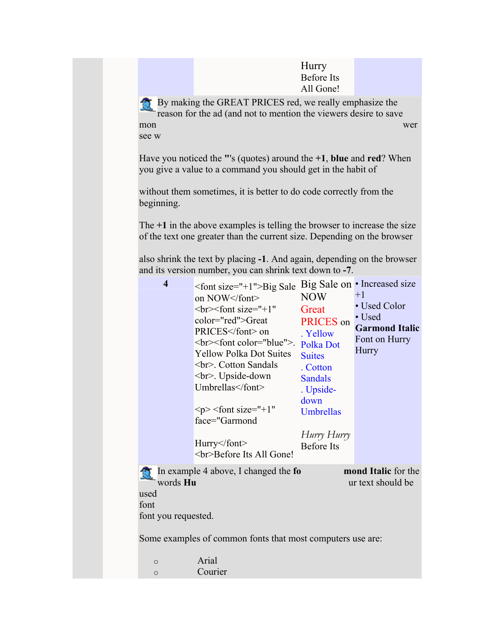**Hurry** Before Its All Gone!

By making the GREAT PRICES red, we really emphasize the mon see w reason for the ad (and not to mention the viewers desire to save wer

Have you noticed the **"**'s (quotes) around the **+1**, **blue** and **red**? When you give a value to a command you should get in the habit of

without them sometimes, it is better to do code correctly from the beginning.

The **+1** in th e above examples is telling the browser to increase the size of the text one greater than the current size. Depending on the browser

also shrink the text by placing **-1**. And again, depending on the browser and its version number, you can shrink text down to **-7**.

| $\overline{\bf{4}}$                             | $\epsilon$ font size="+1">Big Sale<br>on NOW<br>$\text{>>font size}$ ="+1"<br>color="red">Great<br>PRICES on<br><br>> font color="blue" >.<br><b>Yellow Polka Dot Suites</b><br><br>. Cotton Sandals<br><br>. Upside-down<br>Umbrellas<br>$< p$ $>$ $<$ font size="+1"<br>face="Garmond<br>Hurry<br><br>Before Its All Gone! | <b>NOW</b><br>Great<br>PRICES on<br>. Yellow<br>Polka Dot<br><b>Suites</b><br>. Cotton<br><b>Sandals</b><br>. Upside-<br>down<br>Umbrellas<br>Hurry Hurry<br><b>Before</b> Its | Big Sale on • Increased size<br>$+1$<br>• Used Color<br>• Used<br><b>Garmond Italic</b><br>Font on Hurry<br>Hurry |
|-------------------------------------------------|------------------------------------------------------------------------------------------------------------------------------------------------------------------------------------------------------------------------------------------------------------------------------------------------------------------------------|--------------------------------------------------------------------------------------------------------------------------------------------------------------------------------|-------------------------------------------------------------------------------------------------------------------|
| words Hu<br>used<br>font<br>font you requested. | In example 4 above, I changed the fo<br>Some examples of common fonts that most computers use are:                                                                                                                                                                                                                           |                                                                                                                                                                                | mond Italic for the<br>ur text should be                                                                          |
| $\circ$<br>$\circ$                              | Arial<br>Courier                                                                                                                                                                                                                                                                                                             |                                                                                                                                                                                |                                                                                                                   |